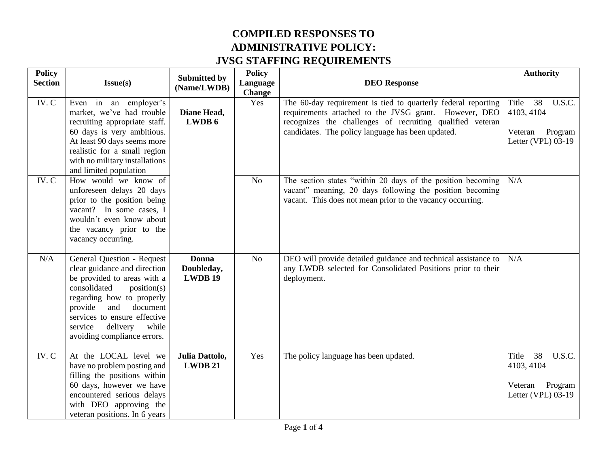| <b>Policy</b>  |                                                                                                                                                                                                                                                                                    |                                    | <b>Policy</b>        |                                                                                                                                                                                                                                          | <b>Authority</b>                                                                |  |  |
|----------------|------------------------------------------------------------------------------------------------------------------------------------------------------------------------------------------------------------------------------------------------------------------------------------|------------------------------------|----------------------|------------------------------------------------------------------------------------------------------------------------------------------------------------------------------------------------------------------------------------------|---------------------------------------------------------------------------------|--|--|
| <b>Section</b> | Issue(s)                                                                                                                                                                                                                                                                           | <b>Submitted by</b><br>(Name/LWDB) | Language             | <b>DEO</b> Response                                                                                                                                                                                                                      |                                                                                 |  |  |
| IV.C           | Even in an employer's<br>market, we've had trouble<br>recruiting appropriate staff.<br>60 days is very ambitious.<br>At least 90 days seems more<br>realistic for a small region<br>with no military installations<br>and limited population                                       | Diane Head,<br>LWDB 6              | <b>Change</b><br>Yes | The 60-day requirement is tied to quarterly federal reporting<br>requirements attached to the JVSG grant. However, DEO<br>recognizes the challenges of recruiting qualified veteran<br>candidates. The policy language has been updated. | Title<br>38<br>U.S.C.<br>4103, 4104<br>Veteran<br>Program<br>Letter (VPL) 03-19 |  |  |
| IV.C           | How would we know of<br>unforeseen delays 20 days<br>prior to the position being<br>vacant? In some cases, I<br>wouldn't even know about<br>the vacancy prior to the<br>vacancy occurring.                                                                                         |                                    | No                   | The section states "within 20 days of the position becoming<br>vacant" meaning, 20 days following the position becoming<br>vacant. This does not mean prior to the vacancy occurring.                                                    | N/A                                                                             |  |  |
| N/A            | General Question - Request<br>clear guidance and direction<br>be provided to areas with a<br>consolidated<br>position(s)<br>regarding how to properly<br>provide<br>and<br>document<br>services to ensure effective<br>while<br>service<br>delivery<br>avoiding compliance errors. | Donna<br>Doubleday,<br>LWDB 19     | N <sub>o</sub>       | DEO will provide detailed guidance and technical assistance to<br>any LWDB selected for Consolidated Positions prior to their<br>deployment.                                                                                             | N/A                                                                             |  |  |
| IV.C           | At the LOCAL level we<br>have no problem posting and<br>filling the positions within<br>60 days, however we have<br>encountered serious delays<br>with DEO approving the<br>veteran positions. In 6 years                                                                          | Julia Dattolo,<br>LWDB 21          | Yes                  | The policy language has been updated.                                                                                                                                                                                                    | U.S.C.<br>38<br>Title<br>4103, 4104<br>Program<br>Veteran<br>Letter (VPL) 03-19 |  |  |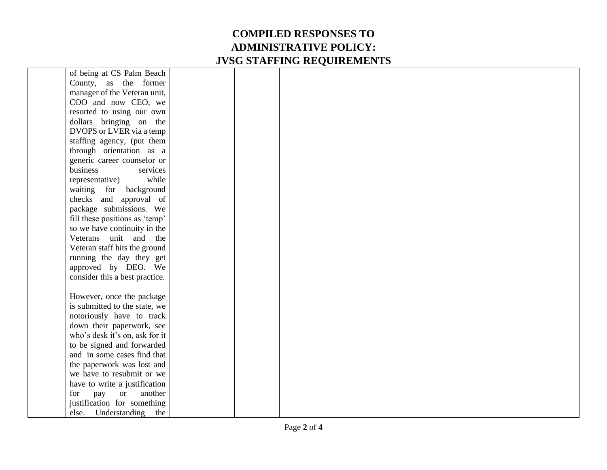| of being at CS Palm Beach      |  |  |
|--------------------------------|--|--|
| County, as the former          |  |  |
| manager of the Veteran unit,   |  |  |
| COO and now CEO, we            |  |  |
| resorted to using our own      |  |  |
| dollars bringing on the        |  |  |
| DVOPS or LVER via a temp       |  |  |
| staffing agency, (put them     |  |  |
| through orientation as a       |  |  |
| generic career counselor or    |  |  |
| business<br>services           |  |  |
| while<br>representative)       |  |  |
| waiting for background         |  |  |
| checks and approval of         |  |  |
| package submissions. We        |  |  |
| fill these positions as 'temp' |  |  |
| so we have continuity in the   |  |  |
| Veterans unit and the          |  |  |
| Veteran staff hits the ground  |  |  |
| running the day they get       |  |  |
| approved by DEO. We            |  |  |
| consider this a best practice. |  |  |
|                                |  |  |
| However, once the package      |  |  |
| is submitted to the state, we  |  |  |
| notoriously have to track      |  |  |
| down their paperwork, see      |  |  |
| who's desk it's on, ask for it |  |  |
| to be signed and forwarded     |  |  |
| and in some cases find that    |  |  |
| the paperwork was lost and     |  |  |
| we have to resubmit or we      |  |  |
| have to write a justification  |  |  |
| for<br>pay<br>or<br>another    |  |  |
| justification for something    |  |  |
| else. Understanding the        |  |  |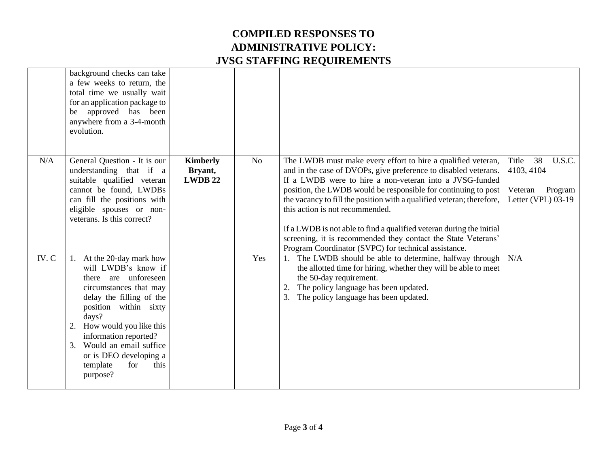|       | background checks can take<br>a few weeks to return, the<br>total time we usually wait<br>for an application package to<br>be approved has been<br>anywhere from a 3-4-month<br>evolution.                                                                                                                                  |                                             |                |                                                                                                                                                                                                                                                                                                                                                                                                                                                                                                                                                                           |                                                                                 |
|-------|-----------------------------------------------------------------------------------------------------------------------------------------------------------------------------------------------------------------------------------------------------------------------------------------------------------------------------|---------------------------------------------|----------------|---------------------------------------------------------------------------------------------------------------------------------------------------------------------------------------------------------------------------------------------------------------------------------------------------------------------------------------------------------------------------------------------------------------------------------------------------------------------------------------------------------------------------------------------------------------------------|---------------------------------------------------------------------------------|
| N/A   | General Question - It is our<br>understanding that if a<br>suitable qualified veteran<br>cannot be found, LWDBs<br>can fill the positions with<br>eligible spouses or non-<br>veterans. Is this correct?                                                                                                                    | <b>Kimberly</b><br>Bryant,<br><b>LWDB22</b> | N <sub>o</sub> | The LWDB must make every effort to hire a qualified veteran,<br>and in the case of DVOPs, give preference to disabled veterans.<br>If a LWDB were to hire a non-veteran into a JVSG-funded<br>position, the LWDB would be responsible for continuing to post<br>the vacancy to fill the position with a qualified veteran; therefore,<br>this action is not recommended.<br>If a LWDB is not able to find a qualified veteran during the initial<br>screening, it is recommended they contact the State Veterans'<br>Program Coordinator (SVPC) for technical assistance. | Title<br>38<br>U.S.C.<br>4103, 4104<br>Program<br>Veteran<br>Letter (VPL) 03-19 |
| IV. C | 1. At the 20-day mark how<br>will LWDB's know if<br>there are unforeseen<br>circumstances that may<br>delay the filling of the<br>position within sixty<br>days?<br>How would you like this<br>2.<br>information reported?<br>Would an email suffice<br>3.<br>or is DEO developing a<br>template<br>for<br>this<br>purpose? |                                             | Yes            | The LWDB should be able to determine, halfway through<br>the allotted time for hiring, whether they will be able to meet<br>the 50-day requirement.<br>The policy language has been updated.<br>2.<br>The policy language has been updated.<br>3.                                                                                                                                                                                                                                                                                                                         | N/A                                                                             |